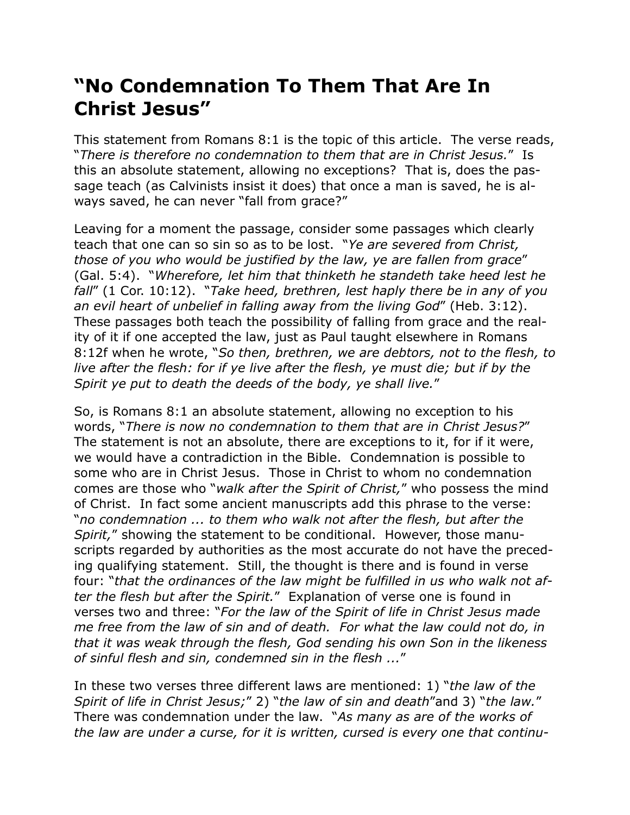## **"No Condemnation To Them That Are In Christ Jesus"**

This statement from Romans 8:1 is the topic of this article. The verse reads, "*There is therefore no condemnation to them that are in Christ Jesus.*" Is this an absolute statement, allowing no exceptions? That is, does the passage teach (as Calvinists insist it does) that once a man is saved, he is always saved, he can never "fall from grace?"

Leaving for a moment the passage, consider some passages which clearly teach that one can so sin so as to be lost. "*Ye are severed from Christ, those of you who would be justified by the law, ye are fallen from grace*" (Gal. 5:4). "*Wherefore, let him that thinketh he standeth take heed lest he fall*" (1 Cor. 10:12). "*Take heed, brethren, lest haply there be in any of you an evil heart of unbelief in falling away from the living God*" (Heb. 3:12). These passages both teach the possibility of falling from grace and the reality of it if one accepted the law, just as Paul taught elsewhere in Romans 8:12f when he wrote, "*So then, brethren, we are debtors, not to the flesh, to live after the flesh: for if ye live after the flesh, ye must die; but if by the Spirit ye put to death the deeds of the body, ye shall live.*"

So, is Romans 8:1 an absolute statement, allowing no exception to his words, "*There is now no condemnation to them that are in Christ Jesus?*" The statement is not an absolute, there are exceptions to it, for if it were, we would have a contradiction in the Bible. Condemnation is possible to some who are in Christ Jesus. Those in Christ to whom no condemnation comes are those who "*walk after the Spirit of Christ,*" who possess the mind of Christ. In fact some ancient manuscripts add this phrase to the verse: "*no condemnation ... to them who walk not after the flesh, but after the Spirit,*" showing the statement to be conditional. However, those manuscripts regarded by authorities as the most accurate do not have the preceding qualifying statement. Still, the thought is there and is found in verse four: "*that the ordinances of the law might be fulfilled in us who walk not after the flesh but after the Spirit.*" Explanation of verse one is found in verses two and three: "*For the law of the Spirit of life in Christ Jesus made me free from the law of sin and of death. For what the law could not do, in that it was weak through the flesh, God sending his own Son in the likeness of sinful flesh and sin, condemned sin in the flesh ...*"

In these two verses three different laws are mentioned: 1) "*the law of the Spirit of life in Christ Jesus;*" 2) "*the law of sin and death*"and 3) "*the law.*" There was condemnation under the law. "*As many as are of the works of the law are under a curse, for it is written, cursed is every one that continu-*